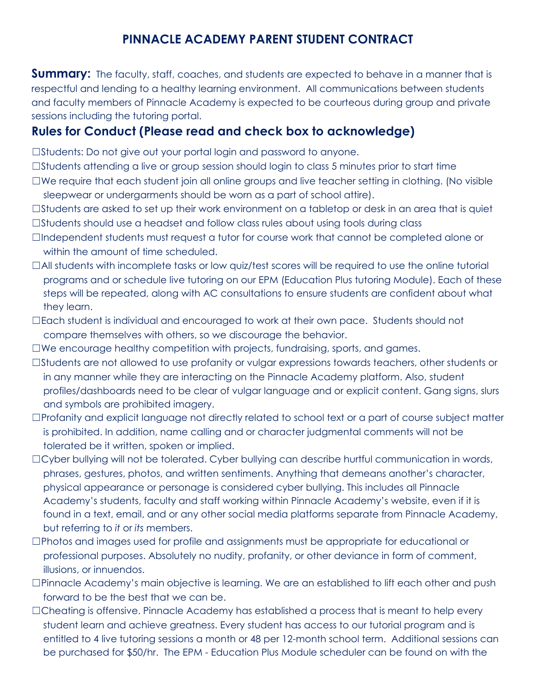## **PINNACLE ACADEMY PARENT STUDENT CONTRACT**

**Summary:** The faculty, staff, coaches, and students are expected to behave in a manner that is respectful and lending to a healthy learning environment. All communications between students and faculty members of Pinnacle Academy is expected to be courteous during group and private sessions including the tutoring portal.

## **Rules for Conduct (Please read and check box to acknowledge)**

☐Students: Do not give out your portal login and password to anyone.

- $\Box$ Students attending a live or group session should login to class 5 minutes prior to start time
- ☐We require that each student join all online groups and live teacher setting in clothing. (No visible sleepwear or undergarments should be worn as a part of school attire).
- ☐Students are asked to set up their work environment on a tabletop or desk in an area that is quiet
- ☐Students should use a headset and follow class rules about using tools during class
- ☐Independent students must request a tutor for course work that cannot be completed alone or within the amount of time scheduled.
- $\Box$ All students with incomplete tasks or low quiz/test scores will be required to use the online tutorial programs and or schedule live tutoring on our EPM (Education Plus tutoring Module). Each of these steps will be repeated, along with AC consultations to ensure students are confident about what they learn.
- ☐Each student is individual and encouraged to work at their own pace. Students should not compare themselves with others, so we discourage the behavior.
- ☐We encourage healthy competition with projects, fundraising, sports, and games.
- ☐Students are not allowed to use profanity or vulgar expressions towards teachers, other students or in any manner while they are interacting on the Pinnacle Academy platform. Also, student profiles/dashboards need to be clear of vulgar language and or explicit content. Gang signs, slurs and symbols are prohibited imagery.
- ☐Profanity and explicit language not directly related to school text or a part of course subject matter is prohibited. In addition, name calling and or character judgmental comments will not be tolerated be it written, spoken or implied.
- ☐Cyber bullying will not be tolerated. Cyber bullying can describe hurtful communication in words, phrases, gestures, photos, and written sentiments. Anything that demeans another's character, physical appearance or personage is considered cyber bullying. This includes all Pinnacle Academy's students, faculty and staff working within Pinnacle Academy's website, even if it is found in a text, email, and or any other social media platforms separate from Pinnacle Academy, but referring to *it* or *its* members.
- ☐Photos and images used for profile and assignments must be appropriate for educational or professional purposes. Absolutely no nudity, profanity, or other deviance in form of comment, illusions, or innuendos.
- $\square$ Pinnacle Academy's main objective is learning. We are an established to lift each other and push forward to be the best that we can be.
- □Cheating is offensive. Pinnacle Academy has established a process that is meant to help every student learn and achieve greatness. Every student has access to our tutorial program and is entitled to 4 live tutoring sessions a month or 48 per 12-month school term. Additional sessions can be purchased for \$50/hr. The EPM - Education Plus Module scheduler can be found on with the